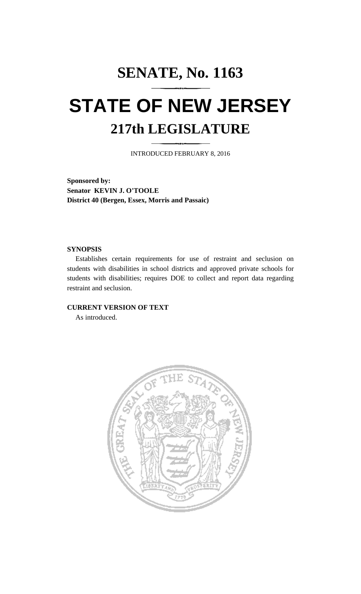# **SENATE, No. 1163 STATE OF NEW JERSEY 217th LEGISLATURE**

INTRODUCED FEBRUARY 8, 2016

**Sponsored by: Senator KEVIN J. O'TOOLE District 40 (Bergen, Essex, Morris and Passaic)**

## **SYNOPSIS**

Establishes certain requirements for use of restraint and seclusion on students with disabilities in school districts and approved private schools for students with disabilities; requires DOE to collect and report data regarding restraint and seclusion.

# **CURRENT VERSION OF TEXT**

As introduced.

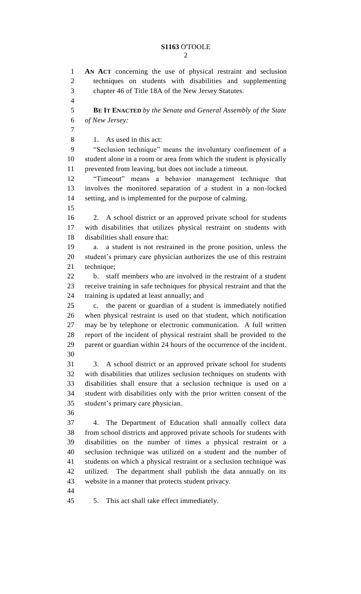# **S1163** O'TOOLE

 **AN ACT** concerning the use of physical restraint and seclusion techniques on students with disabilities and supplementing chapter 46 of Title 18A of the New Jersey Statutes. **BE IT ENACTED** *by the Senate and General Assembly of the State of New Jersey:* 1. As used in this act: "Seclusion technique" means the involuntary confinement of a student alone in a room or area from which the student is physically prevented from leaving, but does not include a timeout. "Timeout" means a behavior management technique that involves the monitored separation of a student in a non-locked setting, and is implemented for the purpose of calming. 2. A school district or an approved private school for students with disabilities that utilizes physical restraint on students with disabilities shall ensure that: a. a student is not restrained in the prone position, unless the student's primary care physician authorizes the use of this restraint technique; b. staff members who are involved in the restraint of a student receive training in safe techniques for physical restraint and that the training is updated at least annually; and c. the parent or guardian of a student is immediately notified when physical restraint is used on that student, which notification may be by telephone or electronic communication. A full written report of the incident of physical restraint shall be provided to the parent or guardian within 24 hours of the occurrence of the incident. 3. A school district or an approved private school for students with disabilities that utilizes seclusion techniques on students with disabilities shall ensure that a seclusion technique is used on a student with disabilities only with the prior written consent of the student's primary care physician. 4. The Department of Education shall annually collect data from school districts and approved private schools for students with disabilities on the number of times a physical restraint or a seclusion technique was utilized on a student and the number of students on which a physical restraint or a seclusion technique was utilized. The department shall publish the data annually on its website in a manner that protects student privacy. 5. This act shall take effect immediately.